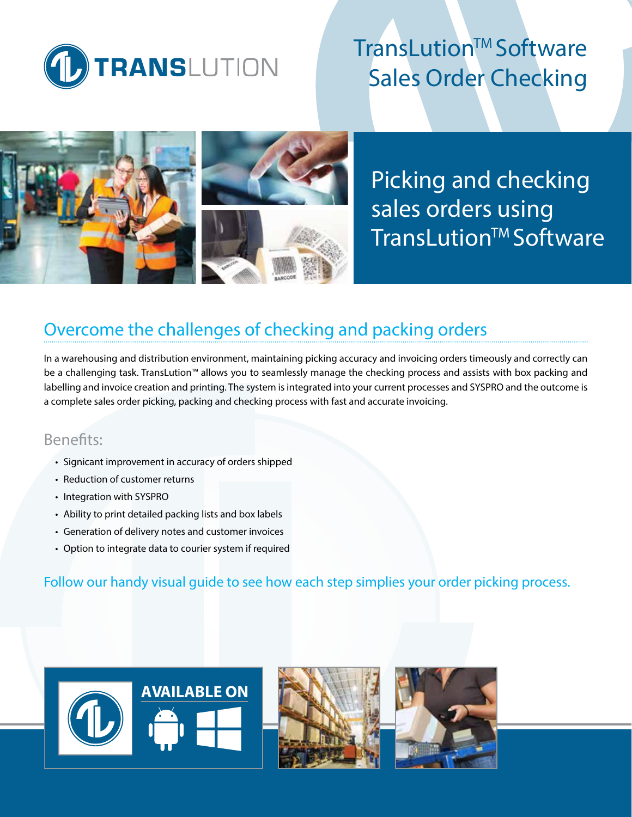

# TransLution™ Software Sales Order Checking



Picking and checking sales orders using **TransLution™Software** 

# Overcome the challenges of checking and packing orders

In a warehousing and distribution environment, maintaining picking accuracy and invoicing orders timeously and correctly can be a challenging task. TransLution™ allows you to seamlessly manage the checking process and assists with box packing and labelling and invoice creation and printing. The system is integrated into your current processes and SYSPRO and the outcome is a complete sales order picking, packing and checking process with fast and accurate invoicing.

### Benefits:

- Signicant improvement in accuracy of orders shipped
- Reduction of customer returns
- Integration with SYSPRO
- Ability to print detailed packing lists and box labels
- Generation of delivery notes and customer invoices
- Option to integrate data to courier system if required

Follow our handy visual guide to see how each step simplies your order picking process.





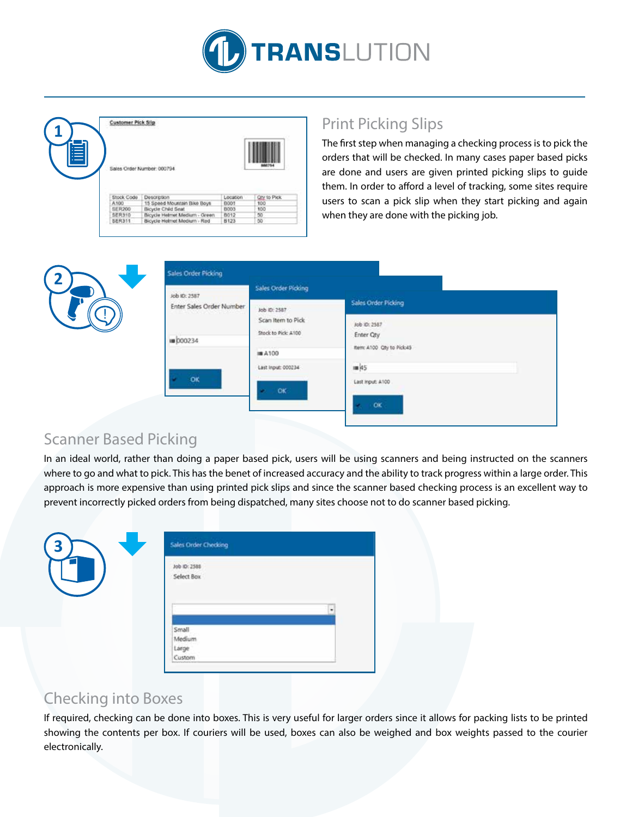

|               | Sales Order Number: 000794                           |          |              |
|---------------|------------------------------------------------------|----------|--------------|
|               |                                                      |          |              |
| Stock Code    | Description                                          | Location | Qty to Pick. |
| A100          | 15 Speed Mountain Bike Boys                          | BOOT     | 100          |
| SER200        |                                                      | 8003     | <b>1DO</b>   |
| <b>SER310</b> | Bicycle Child Seat.<br>Bicycle Helmet Medium - Green | 8012     | 50           |

# Print Picking Slips

The first step when managing a checking process is to pick the orders that will be checked. In many cases paper based picks are done and users are given printed picking slips to guide them. In order to afford a level of tracking, some sites require users to scan a pick slip when they start picking and again when they are done with the picking job.



### Scanner Based Picking

**2**

In an ideal world, rather than doing a paper based pick, users will be using scanners and being instructed on the scanners where to go and what to pick. This has the benet of increased accuracy and the ability to track progress within a large order. This approach is more expensive than using printed pick slips and since the scanner based checking process is an excellent way to prevent incorrectly picked orders from being dispatched, many sites choose not to do scanner based picking.

| Job ID: 2588<br>Select Box |                           |  |
|----------------------------|---------------------------|--|
|                            |                           |  |
|                            |                           |  |
|                            |                           |  |
|                            |                           |  |
| Small                      |                           |  |
|                            |                           |  |
|                            |                           |  |
|                            | Medium<br>Large<br>Custom |  |

### Checking into Boxes

If required, checking can be done into boxes. This is very useful for larger orders since it allows for packing lists to be printed showing the contents per box. If couriers will be used, boxes can also be weighed and box weights passed to the courier electronically.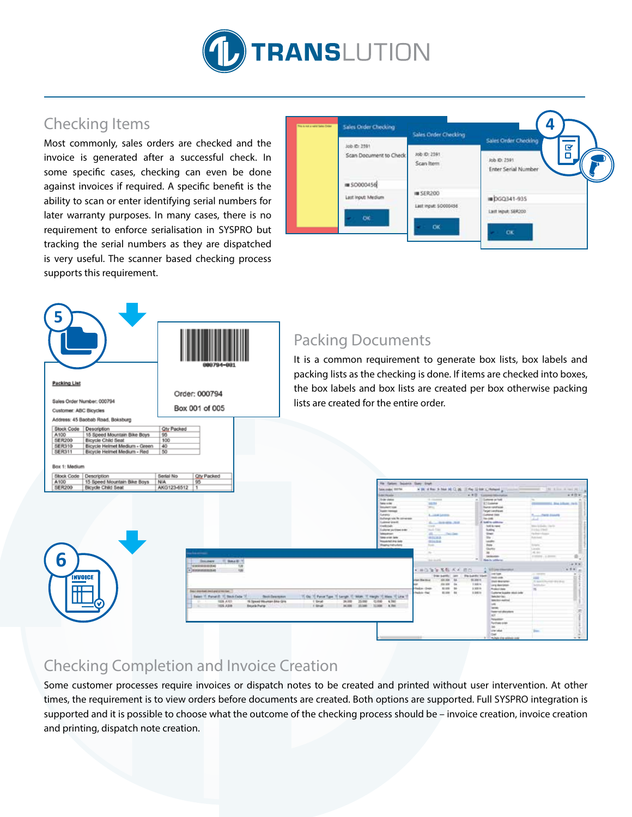

# Checking Items

Most commonly, sales orders are checked and the invoice is generated after a successful check. In some specific cases, checking can even be done against invoices if required. A specific benefit is the ability to scan or enter identifying serial numbers for later warranty purposes. In many cases, there is no requirement to enforce serialisation in SYSPRO but tracking the serial numbers as they are dispatched is very useful. The scanner based checking process supports this requirement.

| <b>Sales Order Checking</b><br><b>DOMESTIC</b> | Sales Order Checking                      | 4<br>Sales Order Checking                                                  |
|------------------------------------------------|-------------------------------------------|----------------------------------------------------------------------------|
| Job ID: 2591<br>Scan Document to Check         | Job ID: 2591<br>Scan Item<br>ik nukwa 2   | $\overline{\mathbf{z}}$<br>о<br>Job ID: 2591<br><b>Enter Serial Number</b> |
| <b>IM SO000456</b><br>Last Input: Medium<br>оc | <b>IM SER200</b><br>Last input: \$0000456 | DGQ341-935<br>Last Input: SER200                                           |
|                                                | OK.                                       | <b>OK</b>                                                                  |



### Packing Documents

It is a common requirement to generate box lists, box labels and packing lists as the checking is done. If items are checked into boxes, the box labels and box lists are created per box otherwise packing lists are created for the entire order.

| A100<br>15 Speed Mountain Bike Boys<br>NGA.<br>SER200<br>Bicycle Child Seat | 95<br>AKG123-6512                                                                                             | Fie Estate Salvinia Staty Stark<br>Seattleber, SETM                                                                           | . It if he is her ALCLAS. If the IS hat a furnant in                                                                                 |                                                                                                                                                                                                                                                          | 19. Kins & Mil H 12.                                                          |
|-----------------------------------------------------------------------------|---------------------------------------------------------------------------------------------------------------|-------------------------------------------------------------------------------------------------------------------------------|--------------------------------------------------------------------------------------------------------------------------------------|----------------------------------------------------------------------------------------------------------------------------------------------------------------------------------------------------------------------------------------------------------|-------------------------------------------------------------------------------|
|                                                                             |                                                                                                               | <b>Uster Healer</b><br>Chair state<br><b>Telephone</b><br><b>Structure 1004</b>                                               | <b>CONTRACTOR</b><br>19 Graduate<br><b>SHOW</b><br><b>Street</b>                                                                     | <b>Custome on hold</b><br><b>W.T.Galakee</b><br><b>Expirat rational</b>                                                                                                                                                                                  | $+400 -$<br><b>REMOVALE SIX LINAX Fels. 30</b>                                |
|                                                                             |                                                                                                               | Tham remove<br><b>Curancy</b><br>Challenge rate the convenient<br><b>Cludewer</b> Weekly<br>Constitutes.<br>Lisbow putton one | <b>A  and Substitute</b><br>A  In a deal and<br>track.<br>Send Free                                                                  | <b>Target carshipped</b><br>Customed Dates<br>Texture.<br>A lott to address<br><b>Solid Armed</b><br><b>Subtra</b>                                                                                                                                       | <b>Territorial State State</b><br>alat 1<br>Marketing States<br>Arrest County |
|                                                                             | and a street of                                                                                               | <b>Selection</b><br>Searche bety<br><b>Roadvist Pa Arts</b><br><b>Thenu returbing</b>                                         | <b>SALES</b><br><b>Check Limits</b><br>地区改造<br><b>BELLING</b><br>hotel.<br>$\rightarrow$                                             | <b>Street</b><br>lis-<br>lauder<br><b>Form</b><br><b>Guns</b><br>$\frac{10}{2}$                                                                                                                                                                          | <b>The State In Games</b><br><b>Hutchison</b><br>ter.<br>ALC:                 |
| b                                                                           | Total D<br><b>Document</b><br>uncocommodati<br>53<br><b>CAL</b><br>· Interpretationals                        |                                                                                                                               | <b>SALES</b><br>+ 田位海道 名称 天正 前田                                                                                                      | $\rightarrow$<br><b>Richard Address</b><br><b>WIT Lee internation</b>                                                                                                                                                                                    | GASES LA 2000<br>488<br>$-111 - 1$<br><b>ALTER</b>                            |
| <b>INVOICE</b><br><b>HIL</b>                                                | <b>Barnetski inclusivnica</b><br>Belast 10. Panel 20, 10, Stock Code 1<br><b>Buck Dearmond</b>                | <b>Farrat Tues</b><br>Mass 10 Line 1                                                                                          | Das santici Jan<br>de de la<br>class District.<br>201209 04<br>\$1.000 000<br>Hedian Great<br><b>Include that</b><br><b>BLONE</b> BA | <b>COLOR</b><br><b>Telephone</b><br>\$5,89%<br><b><i>State Manager</i></b><br>1.800 N<br>Long description<br>3.300 m<br>Product date<br>3.94 to<br>Customer is a piece retard: Josler<br>$\sim$ $\sim$ $\sim$<br><b>Teledischier</b><br><b>MASSAGERS</b> | m<br>21 Month Provider Hills Britt,<br><b>NAMES</b>                           |
| щ<br>G                                                                      | 1226 # 101<br>16 Speed Mountain Site Ciris<br>12.1<br>.<br>1026, 4,000<br><b>Brook Pure</b><br><b>SECTION</b> | 12000 4.700<br>23,000<br><b>L'Ovat</b><br>26,000<br>31,000 8.798<br>21.000<br><b>BEEN</b><br>1,5948                           |                                                                                                                                      | M.<br><b>Service</b><br>Transmitted all products<br>mar.<br><b>Toronton</b><br><b>Rentrase order</b>                                                                                                                                                     |                                                                               |
|                                                                             |                                                                                                               |                                                                                                                               |                                                                                                                                      | 36<br>cow sales<br><b>Diff</b><br>A 1970 and Section Allege, and Marylin County                                                                                                                                                                          |                                                                               |

# Checking Completion and Invoice Creation

Some customer processes require invoices or dispatch notes to be created and printed without user intervention. At other times, the requirement is to view orders before documents are created. Both options are supported. Full SYSPRO integration is supported and it is possible to choose what the outcome of the checking process should be – invoice creation, invoice creation and printing, dispatch note creation.